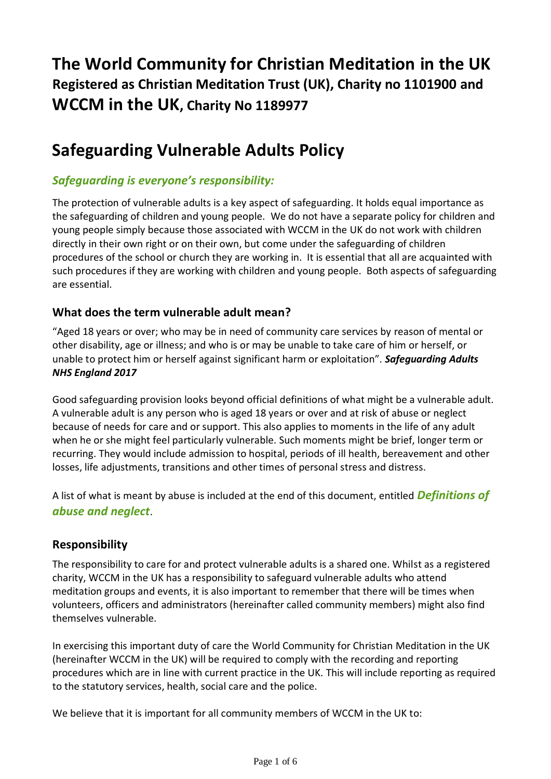# **The World Community for Christian Meditation in the UK Registered as Christian Meditation Trust (UK), Charity no 1101900 and WCCM in the UK, Charity No 1189977**

# **Safeguarding Vulnerable Adults Policy**

## *Safeguarding is everyone's responsibility:*

The protection of vulnerable adults is a key aspect of safeguarding. It holds equal importance as the safeguarding of children and young people. We do not have a separate policy for children and young people simply because those associated with WCCM in the UK do not work with children directly in their own right or on their own, but come under the safeguarding of children procedures of the school or church they are working in. It is essential that all are acquainted with such procedures if they are working with children and young people. Both aspects of safeguarding are essential.

## **What does the term vulnerable adult mean?**

"Aged 18 years or over; who may be in need of community care services by reason of mental or other disability, age or illness; and who is or may be unable to take care of him or herself, or unable to protect him or herself against significant harm or exploitation". *Safeguarding Adults NHS England 2017*

Good safeguarding provision looks beyond official definitions of what might be a vulnerable adult. A vulnerable adult is any person who is aged 18 years or over and at risk of abuse or neglect because of needs for care and or support. This also applies to moments in the life of any adult when he or she might feel particularly vulnerable. Such moments might be brief, longer term or recurring. They would include admission to hospital, periods of ill health, bereavement and other losses, life adjustments, transitions and other times of personal stress and distress.

A list of what is meant by abuse is included at the end of this document, entitled *Definitions of abuse and neglect*.

## **Responsibility**

The responsibility to care for and protect vulnerable adults is a shared one. Whilst as a registered charity, WCCM in the UK has a responsibility to safeguard vulnerable adults who attend meditation groups and events, it is also important to remember that there will be times when volunteers, officers and administrators (hereinafter called community members) might also find themselves vulnerable.

In exercising this important duty of care the World Community for Christian Meditation in the UK (hereinafter WCCM in the UK) will be required to comply with the recording and reporting procedures which are in line with current practice in the UK. This will include reporting as required to the statutory services, health, social care and the police.

We believe that it is important for all community members of WCCM in the UK to: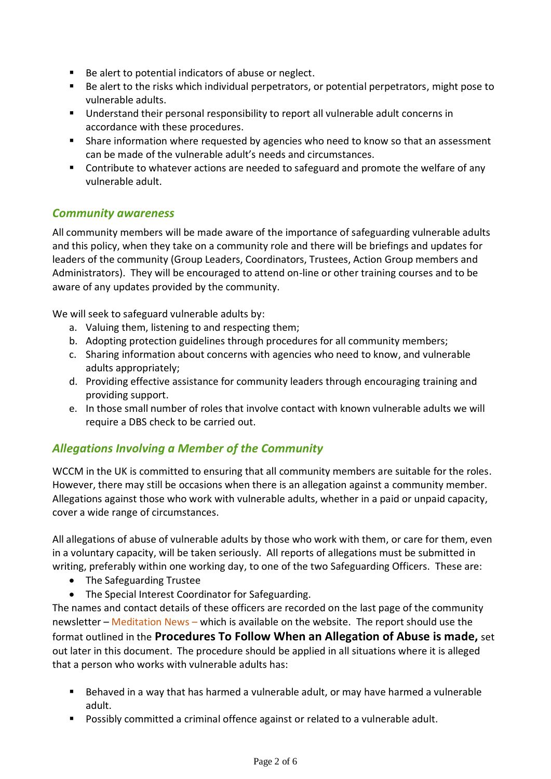- Be alert to potential indicators of abuse or neglect.
- Be alert to the risks which individual perpetrators, or potential perpetrators, might pose to vulnerable adults.
- Understand their personal responsibility to report all vulnerable adult concerns in accordance with these procedures.
- Share information where requested by agencies who need to know so that an assessment can be made of the vulnerable adult's needs and circumstances.
- Contribute to whatever actions are needed to safeguard and promote the welfare of any vulnerable adult.

## *Community awareness*

All community members will be made aware of the importance of safeguarding vulnerable adults and this policy, when they take on a community role and there will be briefings and updates for leaders of the community (Group Leaders, Coordinators, Trustees, Action Group members and Administrators). They will be encouraged to attend on-line or other training courses and to be aware of any updates provided by the community.

We will seek to safeguard vulnerable adults by:

- a. Valuing them, listening to and respecting them;
- b. Adopting protection guidelines through procedures for all community members;
- c. Sharing information about concerns with agencies who need to know, and vulnerable adults appropriately;
- d. Providing effective assistance for community leaders through encouraging training and providing support.
- e. In those small number of roles that involve contact with known vulnerable adults we will require a DBS check to be carried out.

## *Allegations Involving a Member of the Community*

WCCM in the UK is committed to ensuring that all community members are suitable for the roles. However, there may still be occasions when there is an allegation against a community member. Allegations against those who work with vulnerable adults, whether in a paid or unpaid capacity, cover a wide range of circumstances.

All allegations of abuse of vulnerable adults by those who work with them, or care for them, even in a voluntary capacity, will be taken seriously. All reports of allegations must be submitted in writing, preferably within one working day, to one of the two Safeguarding Officers. These are:

- The Safeguarding Trustee
- The Special Interest Coordinator for Safeguarding.

The names and contact details of these officers are recorded on the last page of the community newsletter – Meditation News – which is available on the website. The report should use the format outlined in the **Procedures To Follow When an Allegation of Abuse is made,** set out later in this document. The procedure should be applied in all situations where it is alleged that a person who works with vulnerable adults has:

- Behaved in a way that has harmed a vulnerable adult, or may have harmed a vulnerable adult.
- **Possibly committed a criminal offence against or related to a vulnerable adult.**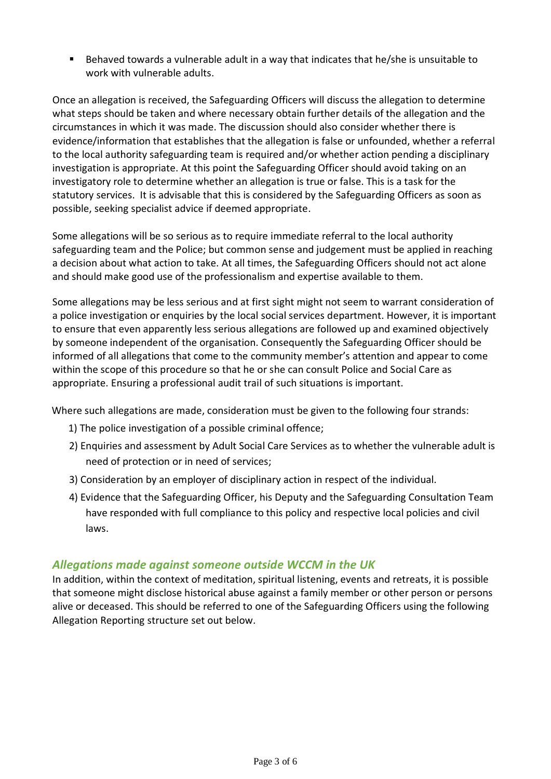Behaved towards a vulnerable adult in a way that indicates that he/she is unsuitable to work with vulnerable adults.

Once an allegation is received, the Safeguarding Officers will discuss the allegation to determine what steps should be taken and where necessary obtain further details of the allegation and the circumstances in which it was made. The discussion should also consider whether there is evidence/information that establishes that the allegation is false or unfounded, whether a referral to the local authority safeguarding team is required and/or whether action pending a disciplinary investigation is appropriate. At this point the Safeguarding Officer should avoid taking on an investigatory role to determine whether an allegation is true or false. This is a task for the statutory services. It is advisable that this is considered by the Safeguarding Officers as soon as possible, seeking specialist advice if deemed appropriate.

Some allegations will be so serious as to require immediate referral to the local authority safeguarding team and the Police; but common sense and judgement must be applied in reaching a decision about what action to take. At all times, the Safeguarding Officers should not act alone and should make good use of the professionalism and expertise available to them.

Some allegations may be less serious and at first sight might not seem to warrant consideration of a police investigation or enquiries by the local social services department. However, it is important to ensure that even apparently less serious allegations are followed up and examined objectively by someone independent of the organisation. Consequently the Safeguarding Officer should be informed of all allegations that come to the community member's attention and appear to come within the scope of this procedure so that he or she can consult Police and Social Care as appropriate. Ensuring a professional audit trail of such situations is important.

Where such allegations are made, consideration must be given to the following four strands:

- 1) The police investigation of a possible criminal offence;
- 2) Enquiries and assessment by Adult Social Care Services as to whether the vulnerable adult is need of protection or in need of services;
- 3) Consideration by an employer of disciplinary action in respect of the individual.
- 4) Evidence that the Safeguarding Officer, his Deputy and the Safeguarding Consultation Team have responded with full compliance to this policy and respective local policies and civil laws.

#### *Allegations made against someone outside WCCM in the UK*

In addition, within the context of meditation, spiritual listening, events and retreats, it is possible that someone might disclose historical abuse against a family member or other person or persons alive or deceased. This should be referred to one of the Safeguarding Officers using the following Allegation Reporting structure set out below.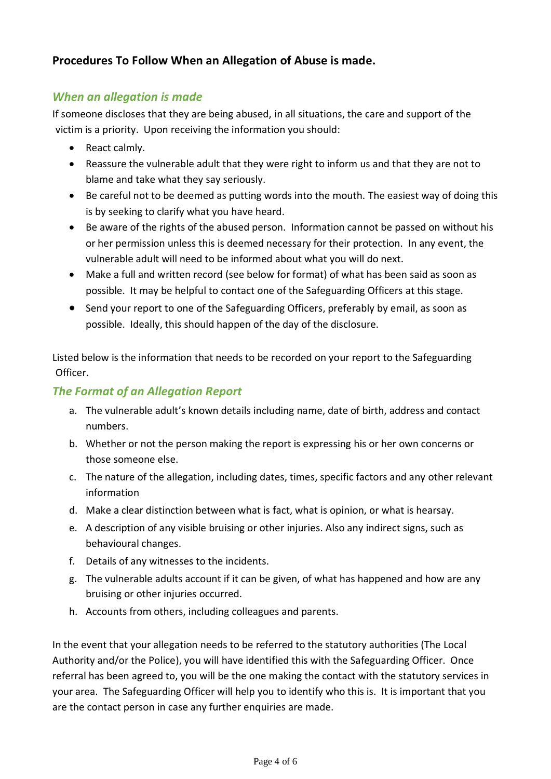## **Procedures To Follow When an Allegation of Abuse is made.**

### *When an allegation is made*

If someone discloses that they are being abused, in all situations, the care and support of the victim is a priority. Upon receiving the information you should:

- React calmly.
- Reassure the vulnerable adult that they were right to inform us and that they are not to blame and take what they say seriously.
- Be careful not to be deemed as putting words into the mouth. The easiest way of doing this is by seeking to clarify what you have heard.
- Be aware of the rights of the abused person. Information cannot be passed on without his or her permission unless this is deemed necessary for their protection. In any event, the vulnerable adult will need to be informed about what you will do next.
- Make a full and written record (see below for format) of what has been said as soon as possible. It may be helpful to contact one of the Safeguarding Officers at this stage.
- Send your report to one of the Safeguarding Officers, preferably by email, as soon as possible. Ideally, this should happen of the day of the disclosure.

Listed below is the information that needs to be recorded on your report to the Safeguarding Officer.

#### *The Format of an Allegation Report*

- a. The vulnerable adult's known details including name, date of birth, address and contact numbers.
- b. Whether or not the person making the report is expressing his or her own concerns or those someone else.
- c. The nature of the allegation, including dates, times, specific factors and any other relevant information
- d. Make a clear distinction between what is fact, what is opinion, or what is hearsay.
- e. A description of any visible bruising or other injuries. Also any indirect signs, such as behavioural changes.
- f. Details of any witnesses to the incidents.
- g. The vulnerable adults account if it can be given, of what has happened and how are any bruising or other injuries occurred.
- h. Accounts from others, including colleagues and parents.

In the event that your allegation needs to be referred to the statutory authorities (The Local Authority and/or the Police), you will have identified this with the Safeguarding Officer. Once referral has been agreed to, you will be the one making the contact with the statutory services in your area. The Safeguarding Officer will help you to identify who this is. It is important that you are the contact person in case any further enquiries are made.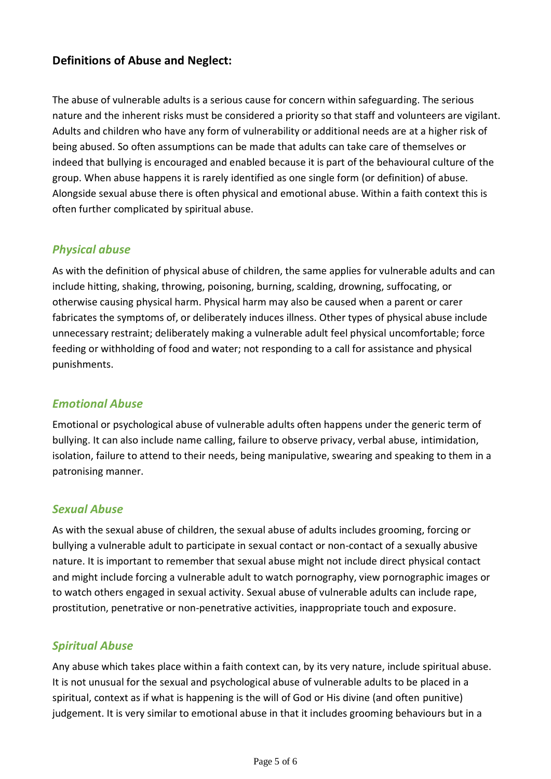## **Definitions of Abuse and Neglect:**

The abuse of vulnerable adults is a serious cause for concern within safeguarding. The serious nature and the inherent risks must be considered a priority so that staff and volunteers are vigilant. Adults and children who have any form of vulnerability or additional needs are at a higher risk of being abused. So often assumptions can be made that adults can take care of themselves or indeed that bullying is encouraged and enabled because it is part of the behavioural culture of the group. When abuse happens it is rarely identified as one single form (or definition) of abuse. Alongside sexual abuse there is often physical and emotional abuse. Within a faith context this is often further complicated by spiritual abuse.

### *Physical abuse*

As with the definition of physical abuse of children, the same applies for vulnerable adults and can include hitting, shaking, throwing, poisoning, burning, scalding, drowning, suffocating, or otherwise causing physical harm. Physical harm may also be caused when a parent or carer fabricates the symptoms of, or deliberately induces illness. Other types of physical abuse include unnecessary restraint; deliberately making a vulnerable adult feel physical uncomfortable; force feeding or withholding of food and water; not responding to a call for assistance and physical punishments.

## *Emotional Abuse*

Emotional or psychological abuse of vulnerable adults often happens under the generic term of bullying. It can also include name calling, failure to observe privacy, verbal abuse, intimidation, isolation, failure to attend to their needs, being manipulative, swearing and speaking to them in a patronising manner.

#### *Sexual Abuse*

As with the sexual abuse of children, the sexual abuse of adults includes grooming, forcing or bullying a vulnerable adult to participate in sexual contact or non-contact of a sexually abusive nature. It is important to remember that sexual abuse might not include direct physical contact and might include forcing a vulnerable adult to watch pornography, view pornographic images or to watch others engaged in sexual activity. Sexual abuse of vulnerable adults can include rape, prostitution, penetrative or non-penetrative activities, inappropriate touch and exposure.

## *Spiritual Abuse*

Any abuse which takes place within a faith context can, by its very nature, include spiritual abuse. It is not unusual for the sexual and psychological abuse of vulnerable adults to be placed in a spiritual, context as if what is happening is the will of God or His divine (and often punitive) judgement. It is very similar to emotional abuse in that it includes grooming behaviours but in a